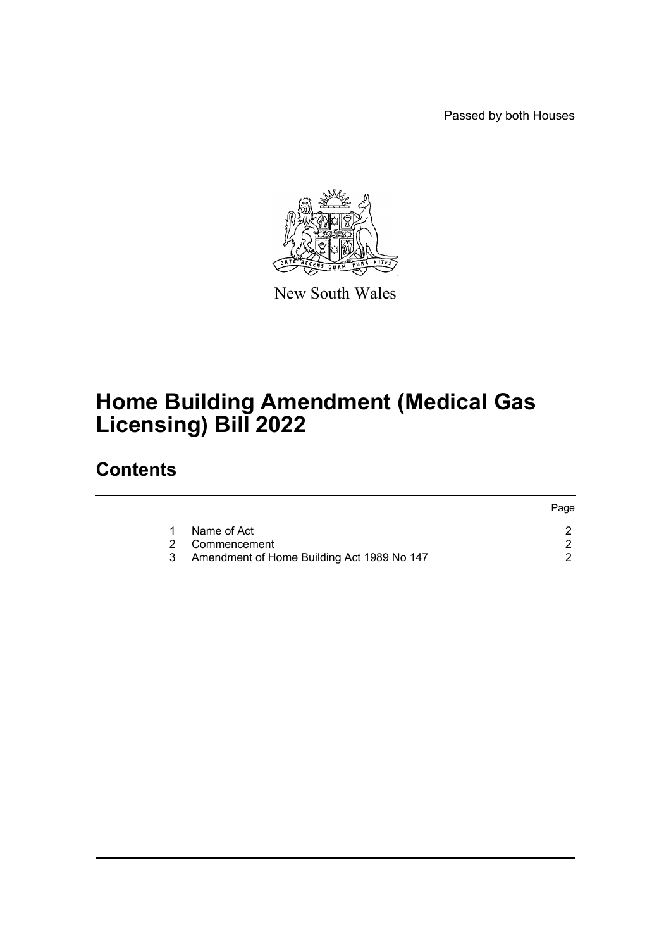Passed by both Houses



New South Wales

## **Home Building Amendment (Medical Gas Licensing) Bill 2022**

## **Contents**

|   |                                            | Page |
|---|--------------------------------------------|------|
|   | Name of Act                                |      |
|   | 2 Commencement                             |      |
| 3 | Amendment of Home Building Act 1989 No 147 |      |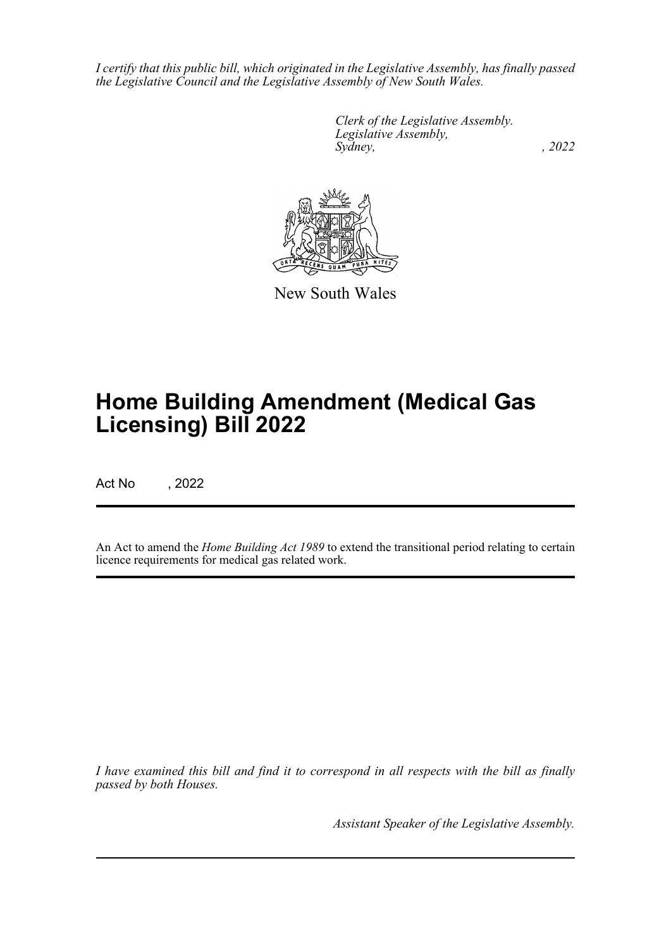*I certify that this public bill, which originated in the Legislative Assembly, has finally passed the Legislative Council and the Legislative Assembly of New South Wales.*

> *Clerk of the Legislative Assembly. Legislative Assembly, Sydney, , 2022*



New South Wales

## **Home Building Amendment (Medical Gas Licensing) Bill 2022**

Act No , 2022

An Act to amend the *Home Building Act 1989* to extend the transitional period relating to certain licence requirements for medical gas related work.

*I have examined this bill and find it to correspond in all respects with the bill as finally passed by both Houses.*

*Assistant Speaker of the Legislative Assembly.*